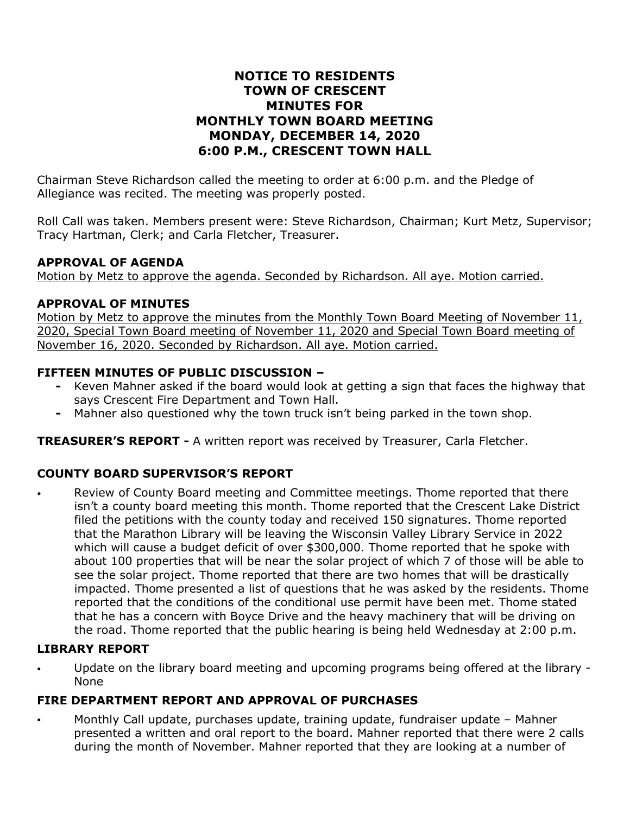# **NOTICE TO RESIDENTS TOWN OF CRESCENT MINUTES FOR MONTHLY TOWN BOARD MEETING MONDAY, DECEMBER 14, 2020 6:00 P.M., CRESCENT TOWN HALL**

Chairman Steve Richardson called the meeting to order at 6:00 p.m. and the Pledge of Allegiance was recited. The meeting was properly posted.

Roll Call was taken. Members present were: Steve Richardson, Chairman; Kurt Metz, Supervisor; Tracy Hartman, Clerk; and Carla Fletcher, Treasurer.

#### **APPROVAL OF AGENDA**

Motion by Metz to approve the agenda. Seconded by Richardson. All aye. Motion carried.

#### **APPROVAL OF MINUTES**

Motion by Metz to approve the minutes from the Monthly Town Board Meeting of November 11, 2020, Special Town Board meeting of November 11, 2020 and Special Town Board meeting of November 16, 2020. Seconded by Richardson. All aye. Motion carried.

### **FIFTEEN MINUTES OF PUBLIC DISCUSSION –**

- **-** Keven Mahner asked if the board would look at getting a sign that faces the highway that says Crescent Fire Department and Town Hall.
- **-** Mahner also questioned why the town truck isn't being parked in the town shop.

**TREASURER'S REPORT -** A written report was received by Treasurer, Carla Fletcher.

# **COUNTY BOARD SUPERVISOR'S REPORT**

Review of County Board meeting and Committee meetings. Thome reported that there isn't a county board meeting this month. Thome reported that the Crescent Lake District filed the petitions with the county today and received 150 signatures. Thome reported that the Marathon Library will be leaving the Wisconsin Valley Library Service in 2022 which will cause a budget deficit of over \$300,000. Thome reported that he spoke with about 100 properties that will be near the solar project of which 7 of those will be able to see the solar project. Thome reported that there are two homes that will be drastically impacted. Thome presented a list of questions that he was asked by the residents. Thome reported that the conditions of the conditional use permit have been met. Thome stated that he has a concern with Boyce Drive and the heavy machinery that will be driving on the road. Thome reported that the public hearing is being held Wednesday at 2:00 p.m.

# **LIBRARY REPORT**

• Update on the library board meeting and upcoming programs being offered at the library - None

# **FIRE DEPARTMENT REPORT AND APPROVAL OF PURCHASES**

• Monthly Call update, purchases update, training update, fundraiser update – Mahner presented a written and oral report to the board. Mahner reported that there were 2 calls during the month of November. Mahner reported that they are looking at a number of